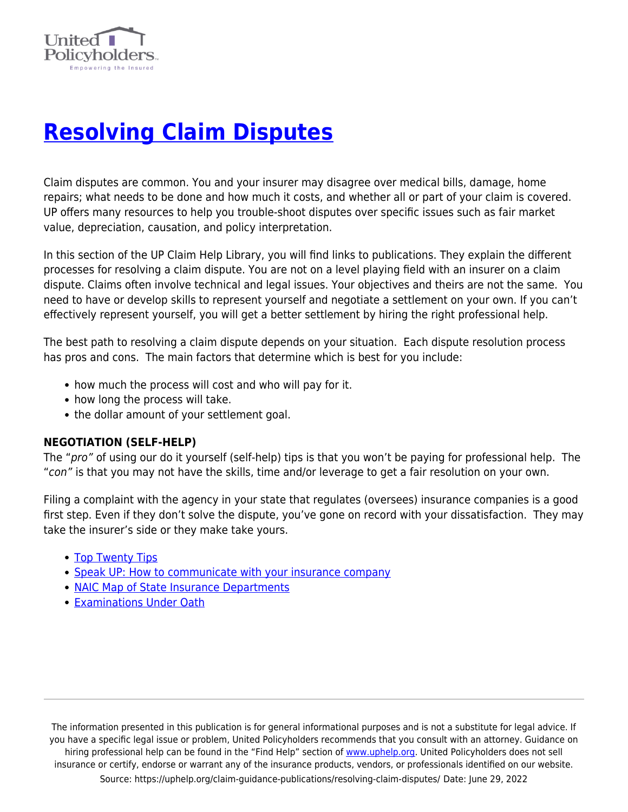

# **[Resolving Claim Disputes](https://uphelp.org/claim-guidance-publications/resolving-claim-disputes/)**

Claim disputes are common. You and your insurer may disagree over medical bills, damage, home repairs; what needs to be done and how much it costs, and whether all or part of your claim is covered. UP offers many resources to help you trouble-shoot disputes over specific issues such as fair market value, depreciation, causation, and policy interpretation.

In this section of the UP Claim Help Library, you will find links to publications. They explain the different processes for resolving a claim dispute. You are not on a level playing field with an insurer on a claim dispute. Claims often involve technical and legal issues. Your objectives and theirs are not the same. You need to have or develop skills to represent yourself and negotiate a settlement on your own. If you can't effectively represent yourself, you will get a better settlement by hiring the right professional help.

The best path to resolving a claim dispute depends on your situation. Each dispute resolution process has pros and cons. The main factors that determine which is best for you include:

- how much the process will cost and who will pay for it.
- how long the process will take.
- the dollar amount of your settlement goal.

# **NEGOTIATION (SELF-HELP)**

The "pro" of using our do it yourself (self-help) tips is that you won't be paying for professional help. The "con" is that you may not have the skills, time and/or leverage to get a fair resolution on your own.

Filing a complaint with the agency in your state that regulates (oversees) insurance companies is a good first step. Even if they don't solve the dispute, you've gone on record with your dissatisfaction. They may take the insurer's side or they make take yours.

- [Top Twenty Tips](https://uphelp.org/claim-guidance-publications/top-20-insurance-recovery-tips/)
- [Speak UP: How to communicate with your insurance company](https://uphelp.org/claim-guidance-publications/speak-up-how-to-communicate-with-your-insurance-company/)
- [NAIC Map of State Insurance Departments](http://www.naic.org/state_web_map.htm)
- **[Examinations Under Oath](https://uphelp.org/claim-guidance-publications/examinations-under-oath-euo/)**

The information presented in this publication is for general informational purposes and is not a substitute for legal advice. If you have a specific legal issue or problem, United Policyholders recommends that you consult with an attorney. Guidance on hiring professional help can be found in the "Find Help" section of [www.uphelp.org.](http://www.uphelp.org/) United Policyholders does not sell insurance or certify, endorse or warrant any of the insurance products, vendors, or professionals identified on our website. Source: https://uphelp.org/claim-guidance-publications/resolving-claim-disputes/ Date: June 29, 2022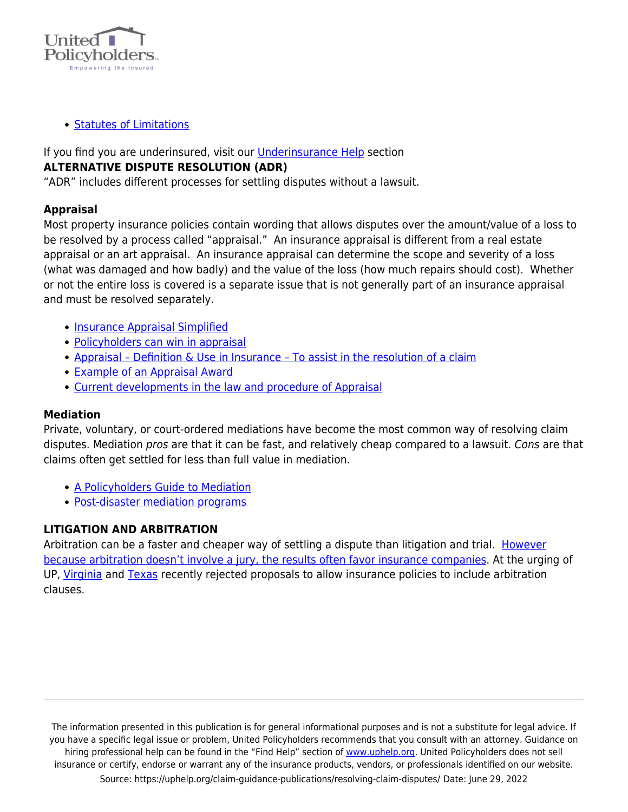

• [Statutes of Limitations](https://uphelp.org/claim-guidance-publications/lawsuit-limitations-in-insurance-policies/)

If you find you are underinsured, visit our [Underinsurance Help](https://uphelp.org/underinsurance-help-were-you-lulled-into-a-false-sense-of-security-or-did-you-intentionally-underinsure-your-biggest-asset/) section **ALTERNATIVE DISPUTE RESOLUTION (ADR)**

"ADR" includes different processes for settling disputes without a lawsuit.

# **Appraisal**

Most property insurance policies contain wording that allows disputes over the amount/value of a loss to be resolved by a process called "appraisal." An insurance appraisal is different from a real estate appraisal or an art appraisal. An insurance appraisal can determine the scope and severity of a loss (what was damaged and how badly) and the value of the loss (how much repairs should cost). Whether or not the entire loss is covered is a separate issue that is not generally part of an insurance appraisal and must be resolved separately.

- [Insurance Appraisal Simplified](https://uphelp.org/claim-guidance-publications/insurance-appraisal-simplified/)
- [Policyholders can win in appraisal](https://uphelp.org/claim-guidance-publications/policyholders-can-win-in-appraisal/)
- Appraisal Definition & Use in Insurance To assist in the resolution of a claim
- [Example of an Appraisal Award](https://uphelp.org/wp-content/uploads/2020/12/Example-of-an-Appraisal-Award.pdf)
- [Current developments in the law and procedure of Appraisal](http://www.propertyinsurancecoveragelaw.com/tags/appraisal/)

# **Mediation**

Private, voluntary, or court-ordered mediations have become the most common way of resolving claim disputes. Mediation pros are that it can be fast, and relatively cheap compared to a lawsuit. Cons are that claims often get settled for less than full value in mediation.

- [A Policyholders Guide to Mediation](https://uphelp.org/claim-guidance-publications/a-policyholders-guide-to-mediation/)
- [Post-disaster mediation programs](https://www.uphelp.org/guide/post-disaster-mediation-programs)

# **LITIGATION AND ARBITRATION**

Arbitration can be a faster and cheaper way of settling a dispute than litigation and trial. [However](https://uphelp.org/bach-talk-forced-arbitration-exposed/) [because arbitration doesn't involve a jury, the results often favor insurance companies](https://uphelp.org/bach-talk-forced-arbitration-exposed/). At the urging of UP, [Virginia](https://uphelp.org/wp-content/uploads/2020/12/Example-of-an-Appraisal-Award.pdf) and [Texas](https://uphelp.org/texas-insurer-drops-push-to-let-homeowners-forgo-right-to-sue/) recently rejected proposals to allow insurance policies to include arbitration clauses.

The information presented in this publication is for general informational purposes and is not a substitute for legal advice. If you have a specific legal issue or problem, United Policyholders recommends that you consult with an attorney. Guidance on hiring professional help can be found in the "Find Help" section of [www.uphelp.org.](http://www.uphelp.org/) United Policyholders does not sell insurance or certify, endorse or warrant any of the insurance products, vendors, or professionals identified on our website. Source: https://uphelp.org/claim-guidance-publications/resolving-claim-disputes/ Date: June 29, 2022